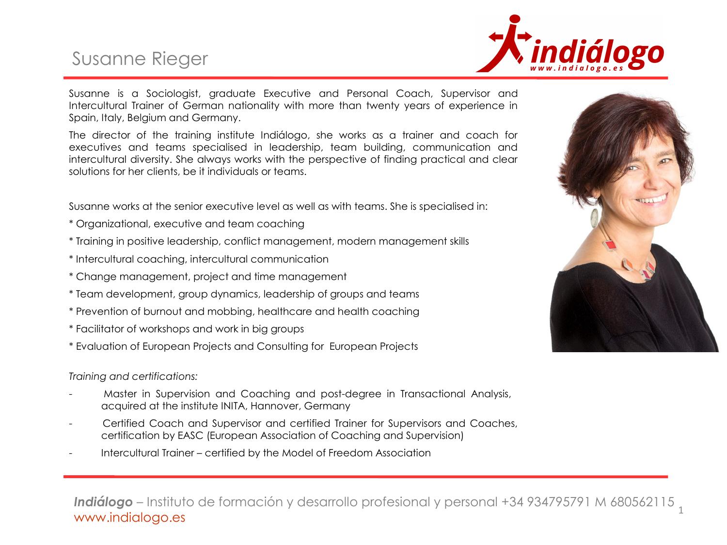# Susanne Rieger



Susanne is a Sociologist, graduate Executive and Personal Coach, Supervisor and Intercultural Trainer of German nationality with more than twenty years of experience in Spain, Italy, Belgium and Germany.

The director of the training institute Indiálogo, she works as a trainer and coach for executives and teams specialised in leadership, team building, communication and intercultural diversity. She always works with the perspective of finding practical and clear solutions for her clients, be it individuals or teams.

Susanne works at the senior executive level as well as with teams. She is specialised in:

- \* Organizational, executive and team coaching
- \* Training in positive leadership, conflict management, modern management skills
- \* Intercultural coaching, intercultural communication
- \* Change management, project and time management
- \* Team development, group dynamics, leadership of groups and teams
- \* Prevention of burnout and mobbing, healthcare and health coaching
- \* Facilitator of workshops and work in big groups
- \* Evaluation of European Projects and Consulting for European Projects

#### *Training and certifications:*

- Master in Supervision and Coaching and post-degree in Transactional Analysis, acquired at the institute INITA, Hannover, Germany
- Certified Coach and Supervisor and certified Trainer for Supervisors and Coaches, certification by EASC (European Association of Coaching and Supervision)
- Intercultural Trainer certified by the Model of Freedom Association



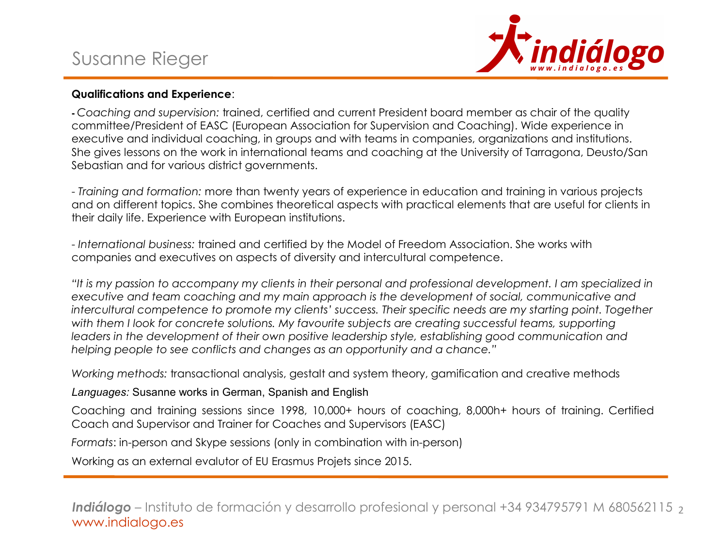# Susanne Rieger



### **Qualifications and Experience**:

**-** *Coaching and supervision:* trained, certified and current President board member as chair of the quality committee/President of EASC (European Association for Supervision and Coaching). Wide experience in executive and individual coaching, in groups and with teams in companies, organizations and institutions. She gives lessons on the work in international teams and coaching at the University of Tarragona, Deusto/San Sebastian and for various district governments.

- *Training and formation:* more than twenty years of experience in education and training in various projects and on different topics. She combines theoretical aspects with practical elements that are useful for clients in their daily life. Experience with European institutions.

- *International business:* trained and certified by the Model of Freedom Association. She works with companies and executives on aspects of diversity and intercultural competence.

*"It is my passion to accompany my clients in their personal and professional development. I am specialized in executive and team coaching and my main approach is the development of social, communicative and intercultural competence to promote my clients' success. Their specific needs are my starting point. Together*  with them I look for concrete solutions. My favourite subjects are creating successful teams, supporting *leaders in the development of their own positive leadership style, establishing good communication and helping people to see conflicts and changes as an opportunity and a chance."*

*Working methods:* transactional analysis, gestalt and system theory, gamification and creative methods

### *Languages:* Susanne works in German, Spanish and English

Coaching and training sessions since 1998, 10,000+ hours of coaching, 8,000h+ hours of training. Certified Coach and Supervisor and Trainer for Coaches and Supervisors (EASC)

*Formats*: in-person and Skype sessions (only in combination with in-person)

Working as an external evalutor of EU Erasmus Projets since 2015.